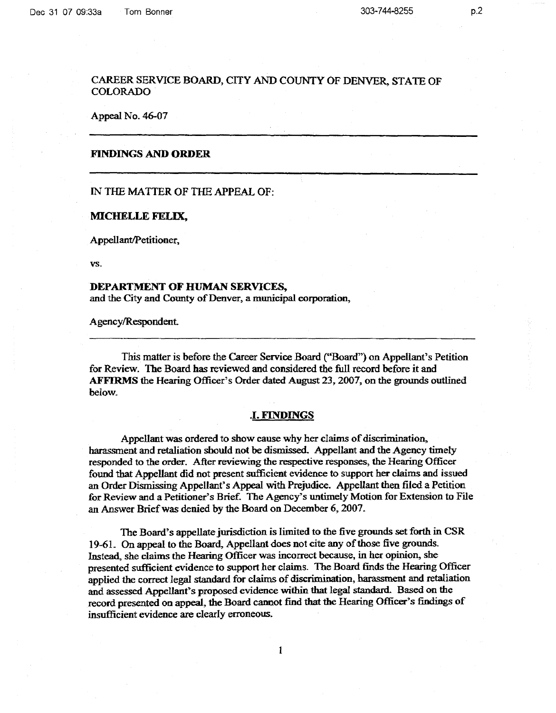Appeal No. 46-07

# **FINDINGS AND ORDER**

IN THE MATTER OF THE APPEAL OF:

### **MICHELLE FELIX,**

Appellant/Petitioner,

vs.

## **DEPARTMENT OF HUMAN SERVICES,**

and the City and County of Denver, a municipal corporation,

Agency/Respondent.

This matter is before the Career Service Board ("Board") on Appellant's Petition for Review. The Board has reviewed and considered the full record before it and **AFFIRMS** the Hearing Officer's Order dated August 23, 2007, on the grounds outlined below.

### .I. **FINDINGS**

Appellant was ordered to show cause why her claims of discrimination, harassment and retaliation should not be dismissed. Appellant and the Agency timely responded to the order. After reviewing the respective responses, the Hearing Officer found that Appellant did not present sufficient evidence to support her claims and issued an Order Dismissing Appellant's Appeal with Prejudice. Appellant then filed a Petition for Review and a Petitioner's Brief. The Agency's untimely Motion for Extension to File an Answer Brief was denied by the Board on December 6, 2007.

The Board's appellate jurisdiction is limited to the five grounds set forth in CSR 19-61. On appeal to the Board, Appellant does not cite any of those five grounds. Instead, she claims the Hearing Officer was incorrect because, in her opinion, she presented sufficient evidence to support her claims. The Board finds the Hearing Officer applied the correct legal standard for claims of discrimination, harassment and retaliation and assessed Appellant's proposed evidence within that legal standard. Based on the record presented on appeal, the Board cannot find that the Hearing Officer's findings of insufficient evidence are clearly erroneous.

p.2